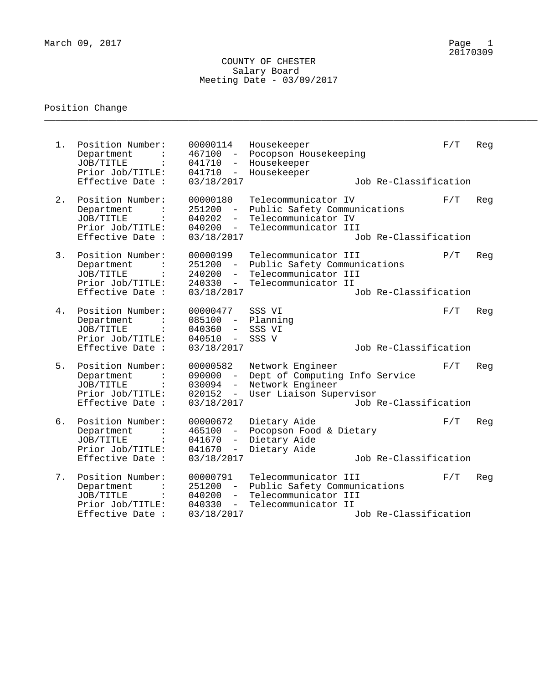\_\_\_\_\_\_\_\_\_\_\_\_\_\_\_\_\_\_\_\_\_\_\_\_\_\_\_\_\_\_\_\_\_\_\_\_\_\_\_\_\_\_\_\_\_\_\_\_\_\_\_\_\_\_\_\_\_\_\_\_\_\_\_\_\_\_\_\_\_\_\_\_\_\_\_\_\_\_\_\_\_\_\_\_\_\_\_\_\_

| $1$ . | Position Number:<br>Department<br>JOB/TITLE<br>Prior Job/TITLE:<br>Effective Date :                   | 00000114<br>467100<br>$\sim$ $-$<br>041710<br>$\overline{\phantom{m}}$<br>041710<br>$\overline{\phantom{m}}$<br>03/18/2017 | Housekeeper<br>Pocopson Housekeeping<br>Housekeeper<br>Housekeeper<br>Job Re-Classification                                  | F/T | Reg |
|-------|-------------------------------------------------------------------------------------------------------|----------------------------------------------------------------------------------------------------------------------------|------------------------------------------------------------------------------------------------------------------------------|-----|-----|
| 2.    | Position Number:<br>Department<br>JOB/TITLE<br>Prior Job/TITLE:<br>Effective Date :                   | 00000180<br>251200<br>$-$<br>040202<br>$\overline{\phantom{0}}$<br>040200<br>$\sim$ $ \sim$<br>03/18/2017                  | Telecommunicator IV<br>Public Safety Communications<br>Telecommunicator IV<br>Telecommunicator III<br>Job Re-Classification  | F/T | Reg |
| 3.    | Position Number:<br>Department<br>JOB/TITLE<br>Prior Job/TITLE:<br>Effective Date :                   | 00000199<br>251200<br>$\sim$ $-$<br>240200<br>$\overline{\phantom{m}}$<br>240330<br>$\sim$<br>03/18/2017                   | Telecommunicator III<br>Public Safety Communications<br>Telecommunicator III<br>Telecommunicator II<br>Job Re-Classification | P/T | Reg |
| 4.    | Position Number:<br>Department<br>JOB/TITLE<br>$\ddot{\cdot}$<br>Prior Job/TITLE:<br>Effective Date : | 00000477<br>$085100 -$<br>040360<br>$\overline{\phantom{m}}$<br>040510<br>$\sim$ $-$<br>03/18/2017                         | SSS VI<br>Planning<br>SSS VI<br>SSS V<br>Job Re-Classification                                                               | F/T | Reg |
| 5.    | Position Number:<br>Department<br>JOB/TITLE<br>Prior Job/TITLE:<br>Effective Date :                   | 00000582<br>090000<br>$\sim$<br>030094<br>$-$<br>020152<br>$\overline{\phantom{m}}$<br>03/18/2017                          | Network Engineer<br>Dept of Computing Info Service<br>Network Engineer<br>User Liaison Supervisor<br>Job Re-Classification   | F/T | Reg |
| б.    | Position Number:<br>Department<br>JOB/TITLE<br>Prior Job/TITLE:<br>Effective Date :                   | 00000672<br>465100<br>$ \,$<br>041670<br>$\overline{\phantom{a}}$<br>041670<br>$\overline{\phantom{m}}$<br>03/18/2017      | Dietary Aide<br>Pocopson Food & Dietary<br>Dietary Aide<br>Dietary Aide<br>Job Re-Classification                             | F/T | Reg |
| 7.    | Position Number:<br>Department<br>JOB/TITLE<br>$\ddot{\cdot}$<br>Prior Job/TITLE:<br>Effective Date : | 00000791<br>251200<br>$\overline{\phantom{m}}$<br>040200<br>$\overline{\phantom{a}}$<br>040330<br>$ \,$<br>03/18/2017      | Telecommunicator III<br>Public Safety Communications<br>Telecommunicator III<br>Telecommunicator II<br>Job Re-Classification | F/T | Reg |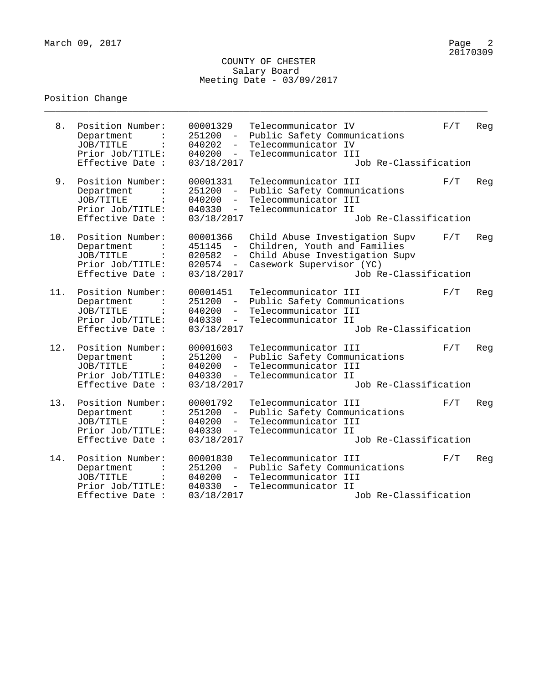\_\_\_\_\_\_\_\_\_\_\_\_\_\_\_\_\_\_\_\_\_\_\_\_\_\_\_\_\_\_\_\_\_\_\_\_\_\_\_\_\_\_\_\_\_\_\_\_\_\_\_\_\_\_\_\_\_\_\_\_\_\_\_\_\_\_\_\_\_\_\_\_\_\_\_\_\_\_\_\_

| 8.  | Position Number:<br>Department<br>JOB/TITLE<br>Prior Job/TITLE:<br>Effective Date :                         | 00001329<br>251200<br>$\overline{\phantom{m}}$<br>040202<br>$\overline{\phantom{a}}$<br>040200<br>03/18/2017 | Telecommunicator IV<br>Public Safety Communications<br>Telecommunicator IV<br>Telecommunicator III<br>Job Re-Classification                           | F/T | Reg |
|-----|-------------------------------------------------------------------------------------------------------------|--------------------------------------------------------------------------------------------------------------|-------------------------------------------------------------------------------------------------------------------------------------------------------|-----|-----|
| 9.  | Position Number:<br>Department<br>JOB/TITLE<br>Prior Job/TITLE:<br>Effective Date :                         | 00001331<br>251200<br>040200<br>040330<br>$-$<br>03/18/2017                                                  | Telecommunicator III<br>Public Safety Communications<br>Telecommunicator III<br>Telecommunicator II<br>Job Re-Classification                          | F/T | Reg |
| 10. | Position Number:<br>Department<br>JOB/TITLE<br>$\ddot{\phantom{a}}$<br>Prior Job/TITLE:<br>Effective Date : | 00001366<br>451145<br>020582<br>020574<br>$\overline{\phantom{0}}$<br>03/18/2017                             | Child Abuse Investigation Supv<br>Children, Youth and Families<br>Child Abuse Investigation Supv<br>Casework Supervisor (YC)<br>Job Re-Classification | F/T | Reg |
| 11. | Position Number:<br>Department<br>JOB/TITLE<br>Prior Job/TITLE:<br>Effective Date :                         | 00001451<br>251200<br>040200<br>$-$<br>040330<br>$ \,$<br>03/18/2017                                         | Telecommunicator III<br>Public Safety Communications<br>Telecommunicator III<br>Telecommunicator II<br>Job Re-Classification                          | F/T | Reg |
| 12. | Position Number:<br>Department<br>JOB/TITLE<br>Prior Job/TITLE:<br>Effective Date :                         | 00001603<br>251200<br>$ \,$<br>040200<br>$-$<br>040330<br>$\overline{\phantom{a}}$<br>03/18/2017             | Telecommunicator III<br>Public Safety Communications<br>Telecommunicator III<br>Telecommunicator II<br>Job Re-Classification                          | F/T | Reg |
| 13. | Position Number:<br>Department<br>JOB/TITLE<br>Prior Job/TITLE:<br>Effective Date :                         | 00001792<br>251200<br>040200<br>$\qquad \qquad -$<br>040330<br>$-$<br>03/18/2017                             | Telecommunicator III<br>Public Safety Communications<br>Telecommunicator III<br>Telecommunicator II<br>Job Re-Classification                          | F/T | Reg |
| 14. | Position Number:<br>Department<br>JOB/TITLE<br>Prior Job/TITLE:<br>Effective Date :                         | 00001830<br>251200<br>040200<br>$\overline{\phantom{a}}$<br>040330<br>$-$<br>03/18/2017                      | Telecommunicator III<br>Public Safety Communications<br>Telecommunicator III<br>Telecommunicator II<br>Job Re-Classification                          | F/T | Reg |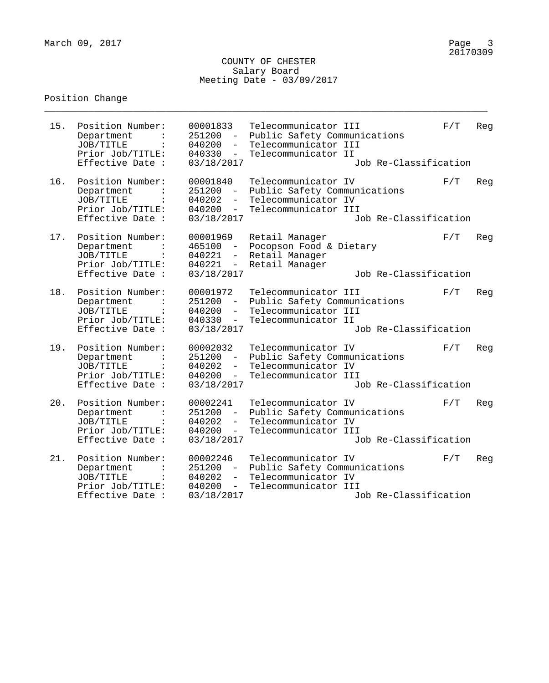\_\_\_\_\_\_\_\_\_\_\_\_\_\_\_\_\_\_\_\_\_\_\_\_\_\_\_\_\_\_\_\_\_\_\_\_\_\_\_\_\_\_\_\_\_\_\_\_\_\_\_\_\_\_\_\_\_\_\_\_\_\_\_\_\_\_\_\_\_\_\_\_\_\_\_\_\_\_\_\_

| 15. | Position Number:<br>Department<br>JOB/TITLE<br>Prior Job/TITLE:<br>Effective Date :                   | 00001833<br>251200<br>040200<br>$\overline{\phantom{0}}$<br>040330<br>03/18/2017                             | Telecommunicator III<br>Public Safety Communications<br>Telecommunicator III<br>Telecommunicator II<br>Job Re-Classification | F/T | Reg |
|-----|-------------------------------------------------------------------------------------------------------|--------------------------------------------------------------------------------------------------------------|------------------------------------------------------------------------------------------------------------------------------|-----|-----|
| 16. | Position Number:<br>Department<br>JOB/TITLE<br>Prior Job/TITLE:<br>Effective Date :                   | 00001840<br>251200<br>040202<br>040200<br>$-$<br>03/18/2017                                                  | Telecommunicator IV<br>Public Safety Communications<br>Telecommunicator IV<br>Telecommunicator III<br>Job Re-Classification  | F/T | Reg |
| 17. | Position Number:<br>Department<br>JOB/TITLE<br>$\ddot{\cdot}$<br>Prior Job/TITLE:<br>Effective Date : | 00001969<br>465100<br>040221<br>040221<br>$ \,$<br>03/18/2017                                                | Retail Manager<br>Pocopson Food & Dietary<br>Retail Manager<br>Retail Manager<br>Job Re-Classification                       | F/T | Reg |
| 18. | Position Number:<br>Department<br>JOB/TITLE<br>Prior Job/TITLE:<br>Effective Date :                   | 00001972<br>251200<br>040200<br>$\overline{\phantom{0}}$<br>040330<br>$\overline{\phantom{a}}$<br>03/18/2017 | Telecommunicator III<br>Public Safety Communications<br>Telecommunicator III<br>Telecommunicator II<br>Job Re-Classification | F/T | Reg |
| 19. | Position Number:<br>Department<br>JOB/TITLE<br>Prior Job/TITLE:<br>Effective Date :                   | 00002032<br>251200<br>$ \,$<br>040202<br>040200<br>$\overline{\phantom{0}}$<br>03/18/2017                    | Telecommunicator IV<br>Public Safety Communications<br>Telecommunicator IV<br>Telecommunicator III<br>Job Re-Classification  | F/T | Reg |
| 20. | Position Number:<br>Department<br>JOB/TITLE<br>Prior Job/TITLE:<br>Effective Date :                   | 00002241<br>251200<br>040202<br>$\qquad \qquad -$<br>040200<br>$\overline{\phantom{0}}$<br>03/18/2017        | Telecommunicator IV<br>Public Safety Communications<br>Telecommunicator IV<br>Telecommunicator III<br>Job Re-Classification  | F/T | Reg |
| 21. | Position Number:<br>Department<br>JOB/TITLE<br>Prior Job/TITLE:<br>Effective Date :                   | 00002246<br>251200<br>040202<br>$\overline{\phantom{a}}$<br>040200<br>$\qquad \qquad -$<br>03/18/2017        | Telecommunicator IV<br>Public Safety Communications<br>Telecommunicator IV<br>Telecommunicator III<br>Job Re-Classification  | F/T | Reg |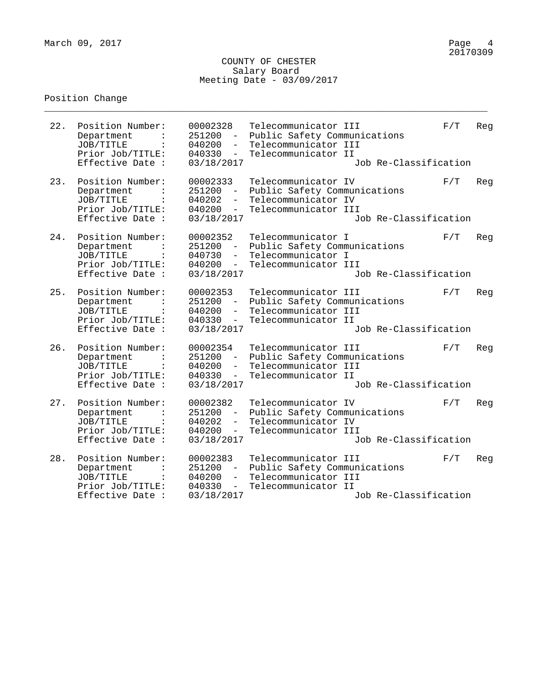\_\_\_\_\_\_\_\_\_\_\_\_\_\_\_\_\_\_\_\_\_\_\_\_\_\_\_\_\_\_\_\_\_\_\_\_\_\_\_\_\_\_\_\_\_\_\_\_\_\_\_\_\_\_\_\_\_\_\_\_\_\_\_\_\_\_\_\_\_\_\_\_\_\_\_\_\_\_\_\_

| 22. | Position Number:<br>Department<br>JOB/TITLE<br>Prior Job/TITLE:<br>Effective Date :                         | 00002328<br>251200<br>040200<br>$-$<br>040330<br>$ \,$<br>03/18/2017                    | Telecommunicator III<br>Public Safety Communications<br>Telecommunicator III<br>Telecommunicator II<br>Job Re-Classification | F/T | Reg |
|-----|-------------------------------------------------------------------------------------------------------------|-----------------------------------------------------------------------------------------|------------------------------------------------------------------------------------------------------------------------------|-----|-----|
| 23. | Position Number:<br>Department<br>JOB/TITLE<br>Prior Job/TITLE:<br>Effective Date :                         | 00002333<br>251200<br>040202<br>040200<br>$-$<br>03/18/2017                             | Telecommunicator IV<br>Public Safety Communications<br>Telecommunicator IV<br>Telecommunicator III<br>Job Re-Classification  | F/T | Reg |
| 24. | Position Number:<br>Department<br>JOB/TITLE<br>$\ddot{\phantom{a}}$<br>Prior Job/TITLE:<br>Effective Date : | 00002352<br>251200<br>040730<br>040200<br>$-$<br>03/18/2017                             | Telecommunicator I<br>Public Safety Communications<br>Telecommunicator I<br>Telecommunicator III<br>Job Re-Classification    | F/T | Reg |
| 25. | Position Number:<br>Department<br>JOB/TITLE<br>Prior Job/TITLE:<br>Effective Date :                         | 00002353<br>251200<br>040200<br>$-$<br>040330<br>$ \,$<br>03/18/2017                    | Telecommunicator III<br>Public Safety Communications<br>Telecommunicator III<br>Telecommunicator II<br>Job Re-Classification | F/T | Reg |
| 26. | Position Number:<br>Department<br>JOB/TITLE<br>Prior Job/TITLE:<br>Effective Date :                         | 00002354<br>251200<br>$\equiv$ .<br>040200<br>$-$<br>040330<br>$-$<br>03/18/2017        | Telecommunicator III<br>Public Safety Communications<br>Telecommunicator III<br>Telecommunicator II<br>Job Re-Classification | F/T | Reg |
| 27. | Position Number:<br>Department<br>JOB/TITLE<br>Prior Job/TITLE:<br>Effective Date :                         | 00002382<br>251200<br>040202<br>040200<br>$-$<br>03/18/2017                             | Telecommunicator IV<br>Public Safety Communications<br>Telecommunicator IV<br>Telecommunicator III<br>Job Re-Classification  | F/T | Reg |
| 28. | Position Number:<br>Department<br>JOB/TITLE<br>Prior Job/TITLE:<br>Effective Date :                         | 00002383<br>251200<br>040200<br>$\overline{\phantom{a}}$<br>040330<br>$-$<br>03/18/2017 | Telecommunicator III<br>Public Safety Communications<br>Telecommunicator III<br>Telecommunicator II<br>Job Re-Classification | F/T | Reg |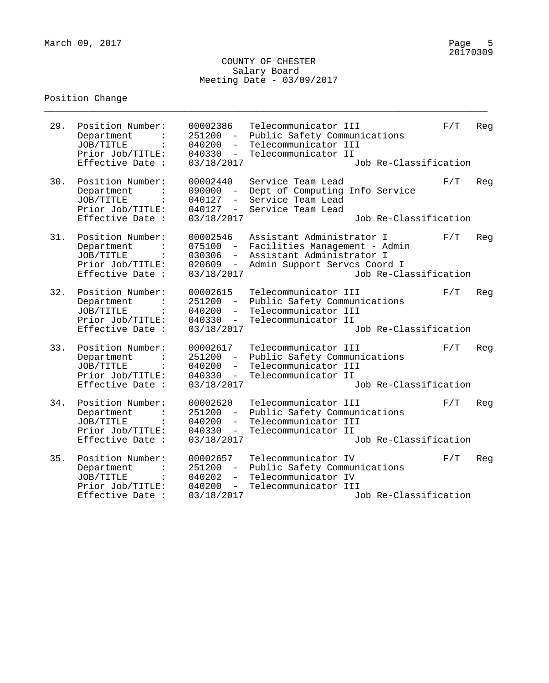\_\_\_\_\_\_\_\_\_\_\_\_\_\_\_\_\_\_\_\_\_\_\_\_\_\_\_\_\_\_\_\_\_\_\_\_\_\_\_\_\_\_\_\_\_\_\_\_\_\_\_\_\_\_\_\_\_\_\_\_\_\_\_\_\_\_\_\_\_\_\_\_\_\_\_\_\_\_\_\_

| 29. | Position Number:<br>Department<br>JOB/TITLE<br>Prior Job/TITLE:<br>Effective Date :                   | 00002386<br>251200<br>040200<br>040330<br>$-$<br>03/18/2017                                             | Telecommunicator III<br>Public Safety Communications<br>Telecommunicator III<br>Telecommunicator II<br>Job Re-Classification                     | F/T | Reg |
|-----|-------------------------------------------------------------------------------------------------------|---------------------------------------------------------------------------------------------------------|--------------------------------------------------------------------------------------------------------------------------------------------------|-----|-----|
| 30. | Position Number:<br>Department<br>JOB/TITLE<br>Prior Job/TITLE:<br>Effective Date :                   | 00002440<br>090000<br>040127<br>$\overline{\phantom{a}}$<br>040127<br>$-$<br>03/18/2017                 | Service Team Lead<br>Dept of Computing Info Service<br>Service Team Lead<br>Service Team Lead<br>Job Re-Classification                           | F/T | Reg |
| 31. | Position Number:<br>Department<br>JOB/TITLE<br>Prior Job/TITLE:<br>Effective Date :                   | 00002546<br>075100<br>030306<br>$\equiv$<br>020609<br>$\overline{\phantom{0}}$<br>03/18/2017            | Assistant Administrator I<br>Facilities Management - Admin<br>Assistant Administrator I<br>Admin Support Servcs Coord I<br>Job Re-Classification | F/T | Reg |
| 32. | Position Number:<br>Department<br>JOB/TITLE<br>Prior Job/TITLE:<br>Effective Date :                   | 00002615<br>251200<br>040200<br>$-$<br>040330<br>$-$<br>03/18/2017                                      | Telecommunicator III<br>Public Safety Communications<br>Telecommunicator III<br>Telecommunicator II<br>Job Re-Classification                     | F/T | Reg |
| 33. | Position Number:<br>Department<br>JOB/TITLE<br>Prior Job/TITLE:<br>Effective Date :                   | 00002617<br>251200<br>$\equiv$ .<br>040200<br>$\overline{\phantom{a}}$<br>040330<br>$ \,$<br>03/18/2017 | Telecommunicator III<br>Public Safety Communications<br>Telecommunicator III<br>Telecommunicator II<br>Job Re-Classification                     | F/T | Reg |
| 34. | Position Number:<br>Department<br>JOB/TITLE<br>Prior Job/TITLE:<br>Effective Date :                   | 00002620<br>251200<br>040200<br>040330<br>03/18/2017                                                    | Telecommunicator III<br>Public Safety Communications<br>Telecommunicator III<br>Telecommunicator II<br>Job Re-Classification                     | F/T | Reg |
| 35. | Position Number:<br>Department<br>JOB/TITLE<br>$\ddot{\cdot}$<br>Prior Job/TITLE:<br>Effective Date : | 00002657<br>251200<br>040202<br>$\overline{\phantom{a}}$<br>040200<br>$-$<br>03/18/2017                 | Telecommunicator IV<br>Public Safety Communications<br>Telecommunicator IV<br>Telecommunicator III<br>Job Re-Classification                      | F/T | Reg |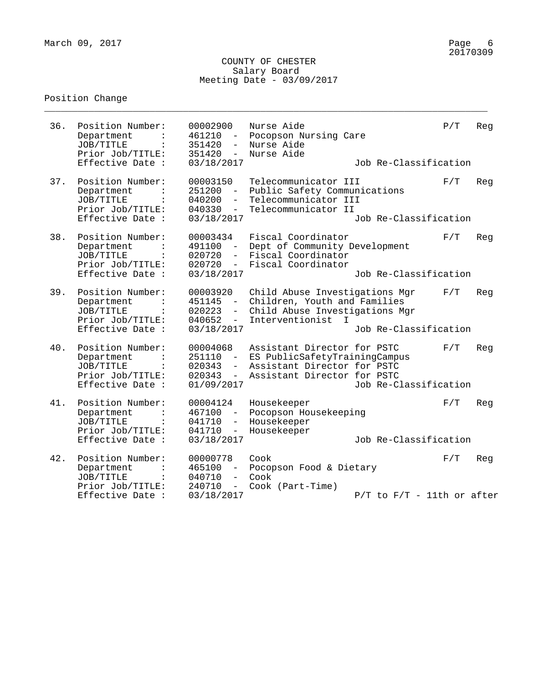\_\_\_\_\_\_\_\_\_\_\_\_\_\_\_\_\_\_\_\_\_\_\_\_\_\_\_\_\_\_\_\_\_\_\_\_\_\_\_\_\_\_\_\_\_\_\_\_\_\_\_\_\_\_\_\_\_\_\_\_\_\_\_\_\_\_\_\_\_\_\_\_\_\_\_\_\_\_\_\_

| 36. | Position Number:<br>Department<br>JOB/TITLE<br>Prior Job/TITLE:<br>Effective Date : | 00002900<br>461210<br>$\overline{\phantom{m}}$<br>351420<br>$\overline{\phantom{0}}$<br>351420<br>$-$<br>03/18/2017                      | Nurse Aide<br>Pocopson Nursing Care<br>Nurse Aide<br>Nurse Aide                                                               | Job Re-Classification          | P/T | Reg |
|-----|-------------------------------------------------------------------------------------|------------------------------------------------------------------------------------------------------------------------------------------|-------------------------------------------------------------------------------------------------------------------------------|--------------------------------|-----|-----|
| 37. | Position Number:<br>Department<br>JOB/TITLE<br>Prior Job/TITLE:<br>Effective Date : | 00003150<br>251200<br>040200<br>$-$<br>040330<br>$-$<br>03/18/2017                                                                       | Telecommunicator III<br>Public Safety Communications<br>Telecommunicator III<br>Telecommunicator II                           | Job Re-Classification          | F/T | Reg |
| 38. | Position Number:<br>Department<br>JOB/TITLE<br>Prior Job/TITLE:<br>Effective Date : | 00003434<br>491100<br>020720<br>020720<br>$-$<br>03/18/2017                                                                              | Fiscal Coordinator<br>Dept of Community Development<br>Fiscal Coordinator<br>Fiscal Coordinator                               | Job Re-Classification          | F/T | Reg |
| 39. | Position Number:<br>Department<br>JOB/TITLE<br>Prior Job/TITLE:<br>Effective Date : | 00003920<br>451145<br>020223<br>040652<br>$-$<br>03/18/2017                                                                              | Child Abuse Investigations Mgr<br>Children, Youth and Families<br>Child Abuse Investigations Mgr<br>Interventionist<br>$\top$ | Job Re-Classification          | F/T | Reg |
| 40. | Position Number:<br>Department<br>JOB/TITLE<br>Prior Job/TITLE:<br>Effective Date : | 00004068<br>251110<br>020343<br>$-$<br>020343<br>$\overline{\phantom{0}}$<br>01/09/2017                                                  | Assistant Director for PSTC<br>ES PublicSafetyTrainingCampus<br>Assistant Director for PSTC<br>Assistant Director for PSTC    | Job Re-Classification          | F/T | Reg |
| 41. | Position Number:<br>Department<br>JOB/TITLE<br>Prior Job/TITLE:<br>Effective Date : | 00004124<br>467100<br>$\overline{\phantom{m}}$<br>041710<br>$\overline{\phantom{0}}$<br>041710<br>$\overline{\phantom{a}}$<br>03/18/2017 | Housekeeper<br>Pocopson Housekeeping<br>Housekeeper<br>Housekeeper                                                            | Job Re-Classification          | F/T | Reg |
| 42. | Position Number:<br>Department<br>JOB/TITLE<br>Prior Job/TITLE:<br>Effective Date : | 00000778<br>465100<br>040710<br>$\overline{\phantom{0}}$<br>240710<br>$\qquad \qquad -$<br>03/18/2017                                    | Cook<br>Pocopson Food & Dietary<br>Cook<br>Cook (Part-Time)                                                                   | $P/T$ to $F/T$ - 11th or after | F/T | Reg |